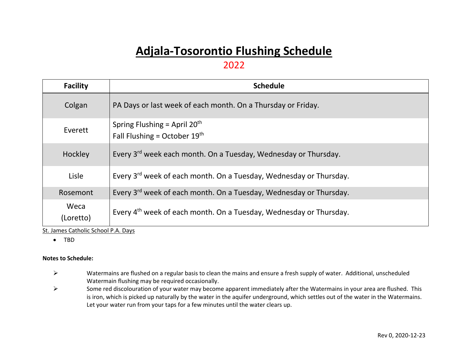## **Adjala-Tosorontio Flushing Schedule**

## 2022

| <b>Facility</b>   | <b>Schedule</b>                                                                |
|-------------------|--------------------------------------------------------------------------------|
| Colgan            | PA Days or last week of each month. On a Thursday or Friday.                   |
| Everett           | Spring Flushing = April $20th$<br>Fall Flushing = October $19^{th}$            |
| Hockley           | Every 3 <sup>rd</sup> week each month. On a Tuesday, Wednesday or Thursday.    |
| Lisle             | Every 3 <sup>rd</sup> week of each month. On a Tuesday, Wednesday or Thursday. |
| Rosemont          | Every 3 <sup>rd</sup> week of each month. On a Tuesday, Wednesday or Thursday. |
| Weca<br>(Loretto) | Every 4 <sup>th</sup> week of each month. On a Tuesday, Wednesday or Thursday. |

St. James Catholic School P.A. Days

• TBD

## **Notes to Schedule:**

- $\triangleright$  Watermains are flushed on a regular basis to clean the mains and ensure a fresh supply of water. Additional, unscheduled Watermain flushing may be required occasionally.
- $\triangleright$  Some red discolouration of your water may become apparent immediately after the Watermains in your area are flushed. This is iron, which is picked up naturally by the water in the aquifer underground, which settles out of the water in the Watermains. Let your water run from your taps for a few minutes until the water clears up.